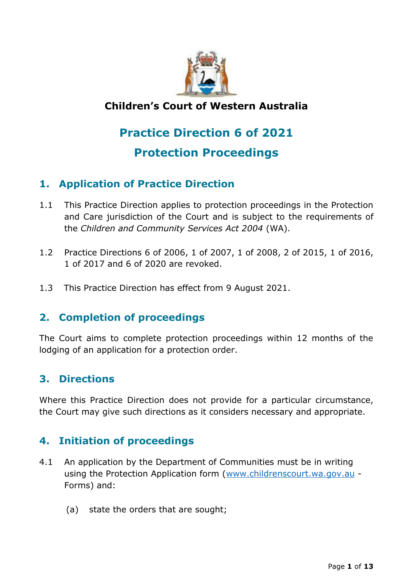

# **Children's Court of Western Australia**

# **Practice Direction 6 of 2021**

# **Protection Proceedings**

# **1. Application of Practice Direction**

- 1.1 This Practice Direction applies to protection proceedings in the Protection and Care jurisdiction of the Court and is subject to the requirements of the *Children and Community Services Act 2004* (WA).
- 1.2 Practice Directions 6 of 2006, 1 of 2007, 1 of 2008, 2 of 2015, 1 of 2016, 1 of 2017 and 6 of 2020 are revoked.
- 1.3 This Practice Direction has effect from 9 August 2021.

## **2. Completion of proceedings**

The Court aims to complete protection proceedings within 12 months of the lodging of an application for a protection order.

## **3. Directions**

Where this Practice Direction does not provide for a particular circumstance, the Court may give such directions as it considers necessary and appropriate.

# **4. Initiation of proceedings**

- 4.1 An application by the Department of Communities must be in writing using the Protection Application form [\(www.childrenscourt.wa.gov.au](http://www.childrenscourt.wa.gov.au/) - Forms) and:
	- (a) state the orders that are sought;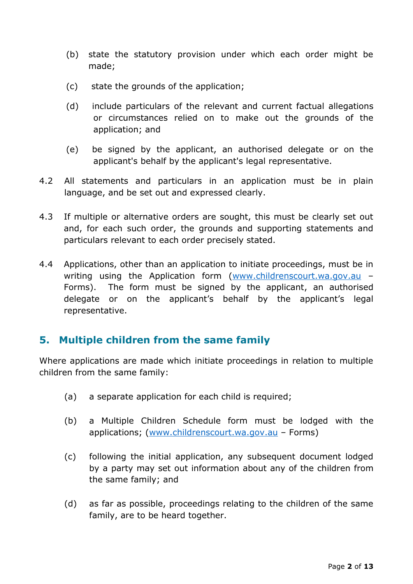- (b) state the statutory provision under which each order might be made;
- (c) state the grounds of the application;
- (d) include particulars of the relevant and current factual allegations or circumstances relied on to make out the grounds of the application; and
- (e) be signed by the applicant, an authorised delegate or on the applicant's behalf by the applicant's legal representative.
- 4.2 All statements and particulars in an application must be in plain language, and be set out and expressed clearly.
- 4.3 If multiple or alternative orders are sought, this must be clearly set out and, for each such order, the grounds and supporting statements and particulars relevant to each order precisely stated.
- 4.4 Applications, other than an application to initiate proceedings, must be in writing using the Application form [\(www.childrenscourt.wa.gov.au](http://www.childrenscourt.wa.gov.au/) – Forms). The form must be signed by the applicant, an authorised delegate or on the applicant's behalf by the applicant's legal representative.

#### **5. Multiple children from the same family**

Where applications are made which initiate proceedings in relation to multiple children from the same family:

- (a) a separate application for each child is required;
- (b) a Multiple Children Schedule form must be lodged with the applications; [\(www.childrenscourt.wa.gov.au](http://www.childrenscourt.wa.gov.au/) – Forms)
- (c) following the initial application, any subsequent document lodged by a party may set out information about any of the children from the same family; and
- (d) as far as possible, proceedings relating to the children of the same family, are to be heard together.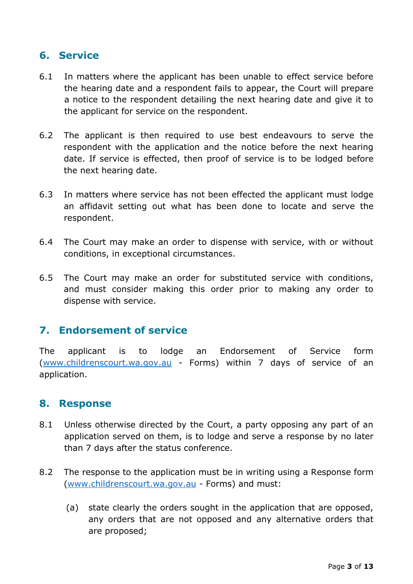## **6. Service**

- 6.1 In matters where the applicant has been unable to effect service before the hearing date and a respondent fails to appear, the Court will prepare a notice to the respondent detailing the next hearing date and give it to the applicant for service on the respondent.
- 6.2 The applicant is then required to use best endeavours to serve the respondent with the application and the notice before the next hearing date. If service is effected, then proof of service is to be lodged before the next hearing date.
- 6.3 In matters where service has not been effected the applicant must lodge an affidavit setting out what has been done to locate and serve the respondent.
- 6.4 The Court may make an order to dispense with service, with or without conditions, in exceptional circumstances.
- 6.5 The Court may make an order for substituted service with conditions, and must consider making this order prior to making any order to dispense with service.

## **7. Endorsement of service**

The applicant is to lodge an Endorsement of Service form [\(www.childrenscourt.wa.gov.au](http://www.childrenscourt.wa.gov.au/) - Forms) within 7 days of service of an application.

#### **8. Response**

- 8.1 Unless otherwise directed by the Court, a party opposing any part of an application served on them, is to lodge and serve a response by no later than 7 days after the status conference.
- 8.2 The response to the application must be in writing using a Response form [\(www.childrenscourt.wa.gov.au](http://www.childrenscourt.wa.gov.au/) - Forms) and must:
	- (a) state clearly the orders sought in the application that are opposed, any orders that are not opposed and any alternative orders that are proposed;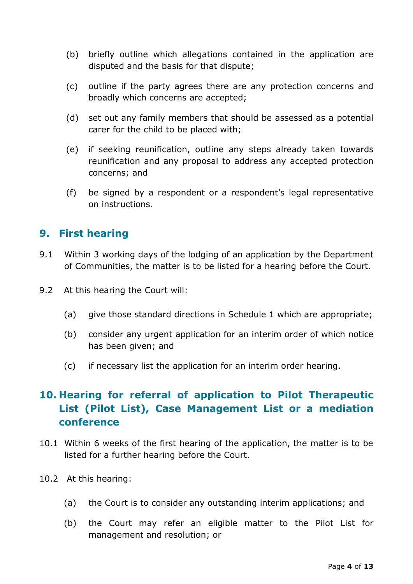- (b) briefly outline which allegations contained in the application are disputed and the basis for that dispute;
- (c) outline if the party agrees there are any protection concerns and broadly which concerns are accepted;
- (d) set out any family members that should be assessed as a potential carer for the child to be placed with;
- (e) if seeking reunification, outline any steps already taken towards reunification and any proposal to address any accepted protection concerns; and
- (f) be signed by a respondent or a respondent's legal representative on instructions.

## **9. First hearing**

- 9.1 Within 3 working days of the lodging of an application by the Department of Communities, the matter is to be listed for a hearing before the Court.
- 9.2 At this hearing the Court will:
	- (a) give those standard directions in Schedule 1 which are appropriate;
	- (b) consider any urgent application for an interim order of which notice has been given; and
	- (c) if necessary list the application for an interim order hearing.

# **10. Hearing for referral of application to Pilot Therapeutic List (Pilot List), Case Management List or a mediation conference**

- 10.1 Within 6 weeks of the first hearing of the application, the matter is to be listed for a further hearing before the Court.
- 10.2 At this hearing:
	- (a) the Court is to consider any outstanding interim applications; and
	- (b) the Court may refer an eligible matter to the Pilot List for management and resolution; or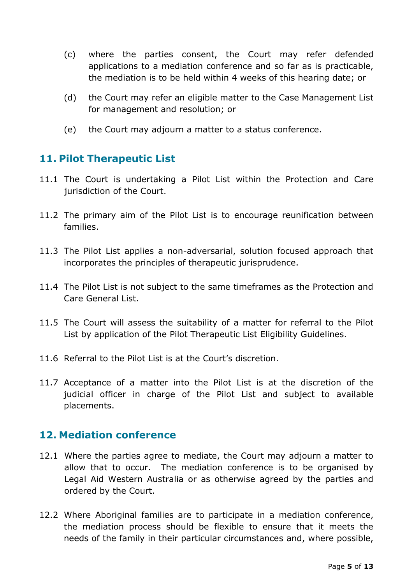- (c) where the parties consent, the Court may refer defended applications to a mediation conference and so far as is practicable, the mediation is to be held within 4 weeks of this hearing date; or
- (d) the Court may refer an eligible matter to the Case Management List for management and resolution; or
- (e) the Court may adjourn a matter to a status conference.

# **11. Pilot Therapeutic List**

- 11.1 The Court is undertaking a Pilot List within the Protection and Care jurisdiction of the Court.
- 11.2 The primary aim of the Pilot List is to encourage reunification between families.
- 11.3 The Pilot List applies a non-adversarial, solution focused approach that incorporates the principles of therapeutic jurisprudence.
- 11.4 The Pilot List is not subject to the same timeframes as the Protection and Care General List.
- 11.5 The Court will assess the suitability of a matter for referral to the Pilot List by application of the Pilot Therapeutic List Eligibility Guidelines.
- 11.6 Referral to the Pilot List is at the Court's discretion.
- 11.7 Acceptance of a matter into the Pilot List is at the discretion of the judicial officer in charge of the Pilot List and subject to available placements.

## **12. Mediation conference**

- 12.1 Where the parties agree to mediate, the Court may adjourn a matter to allow that to occur. The mediation conference is to be organised by Legal Aid Western Australia or as otherwise agreed by the parties and ordered by the Court.
- 12.2 Where Aboriginal families are to participate in a mediation conference, the mediation process should be flexible to ensure that it meets the needs of the family in their particular circumstances and, where possible,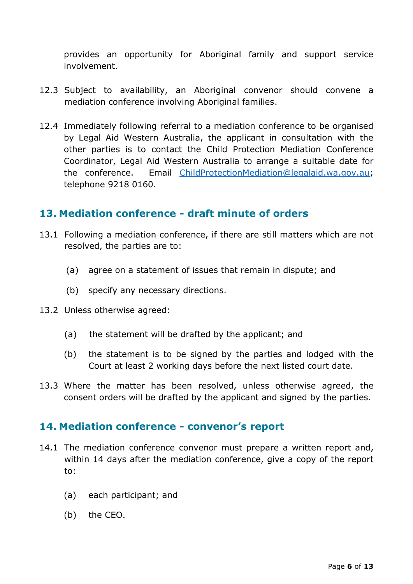provides an opportunity for Aboriginal family and support service involvement.

- 12.3 Subject to availability, an Aboriginal convenor should convene a mediation conference involving Aboriginal families.
- 12.4 Immediately following referral to a mediation conference to be organised by Legal Aid Western Australia, the applicant in consultation with the other parties is to contact the Child Protection Mediation Conference Coordinator, Legal Aid Western Australia to arrange a suitable date for the conference. Email [ChildP](mailto:ccps@legalaid.wa.gov.au)rotectionMediation@legalaid.wa.gov.au; telephone 9218 0160.

#### **13. Mediation conference - draft minute of orders**

- 13.1 Following a mediation conference, if there are still matters which are not resolved, the parties are to:
	- (a) agree on a statement of issues that remain in dispute; and
	- (b) specify any necessary directions.
- 13.2 Unless otherwise agreed:
	- (a) the statement will be drafted by the applicant; and
	- (b) the statement is to be signed by the parties and lodged with the Court at least 2 working days before the next listed court date.
- 13.3 Where the matter has been resolved, unless otherwise agreed, the consent orders will be drafted by the applicant and signed by the parties.

#### **14. Mediation conference - convenor's report**

- 14.1 The mediation conference convenor must prepare a written report and, within 14 days after the mediation conference, give a copy of the report to:
	- (a) each participant; and
	- (b) the CEO.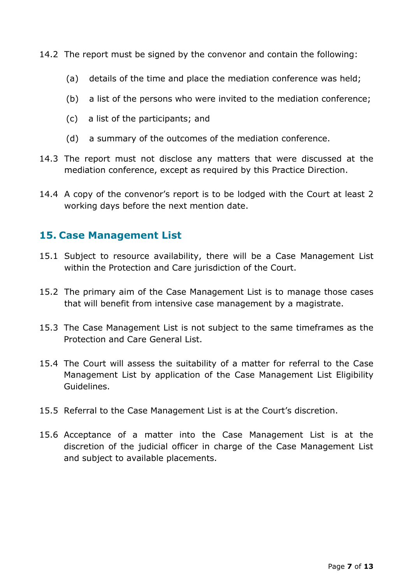- 14.2 The report must be signed by the convenor and contain the following:
	- (a) details of the time and place the mediation conference was held;
	- (b) a list of the persons who were invited to the mediation conference;
	- (c) a list of the participants; and
	- (d) a summary of the outcomes of the mediation conference.
- 14.3 The report must not disclose any matters that were discussed at the mediation conference, except as required by this Practice Direction.
- 14.4 A copy of the convenor's report is to be lodged with the Court at least 2 working days before the next mention date.

### **15. Case Management List**

- 15.1 Subject to resource availability, there will be a Case Management List within the Protection and Care jurisdiction of the Court.
- 15.2 The primary aim of the Case Management List is to manage those cases that will benefit from intensive case management by a magistrate.
- 15.3 The Case Management List is not subject to the same timeframes as the Protection and Care General List.
- 15.4 The Court will assess the suitability of a matter for referral to the Case Management List by application of the Case Management List Eligibility Guidelines.
- 15.5 Referral to the Case Management List is at the Court's discretion.
- 15.6 Acceptance of a matter into the Case Management List is at the discretion of the judicial officer in charge of the Case Management List and subject to available placements.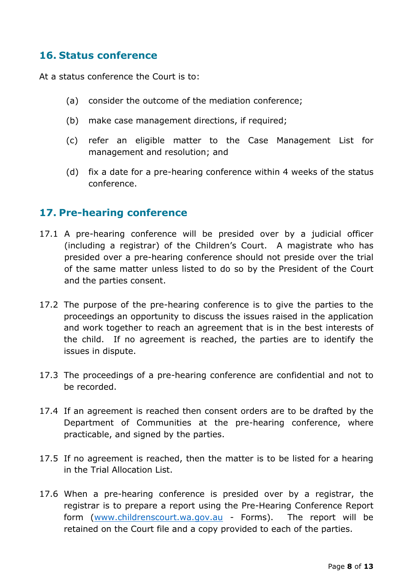## **16. Status conference**

At a status conference the Court is to:

- (a) consider the outcome of the mediation conference;
- (b) make case management directions, if required;
- (c) refer an eligible matter to the Case Management List for management and resolution; and
- (d) fix a date for a pre-hearing conference within 4 weeks of the status conference.

#### **17. Pre-hearing conference**

- 17.1 A pre-hearing conference will be presided over by a judicial officer (including a registrar) of the Children's Court. A magistrate who has presided over a pre-hearing conference should not preside over the trial of the same matter unless listed to do so by the President of the Court and the parties consent.
- 17.2 The purpose of the pre-hearing conference is to give the parties to the proceedings an opportunity to discuss the issues raised in the application and work together to reach an agreement that is in the best interests of the child. If no agreement is reached, the parties are to identify the issues in dispute.
- 17.3 The proceedings of a pre-hearing conference are confidential and not to be recorded.
- 17.4 If an agreement is reached then consent orders are to be drafted by the Department of Communities at the pre-hearing conference, where practicable, and signed by the parties.
- 17.5 If no agreement is reached, then the matter is to be listed for a hearing in the Trial Allocation List.
- 17.6 When a pre-hearing conference is presided over by a registrar, the registrar is to prepare a report using the Pre-Hearing Conference Report form [\(www.childrenscourt.wa.gov.au](http://www.childrenscourt.wa.gov.au/) - Forms). The report will be retained on the Court file and a copy provided to each of the parties.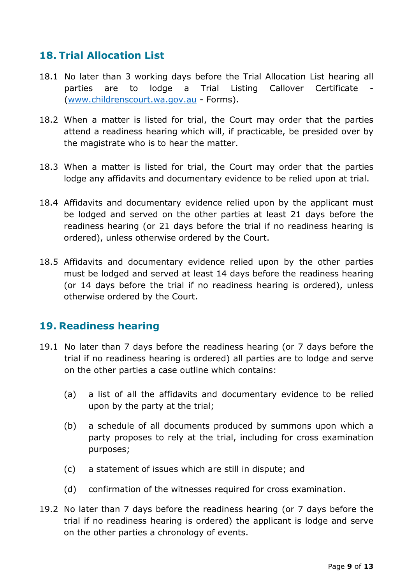# **18. Trial Allocation List**

- 18.1 No later than 3 working days before the Trial Allocation List hearing all parties are to lodge a Trial Listing Callover Certificate [\(www.childrenscourt.wa.gov.au](http://www.childrenscourt.wa.gov.au/) - Forms).
- 18.2 When a matter is listed for trial, the Court may order that the parties attend a readiness hearing which will, if practicable, be presided over by the magistrate who is to hear the matter.
- 18.3 When a matter is listed for trial, the Court may order that the parties lodge any affidavits and documentary evidence to be relied upon at trial.
- 18.4 Affidavits and documentary evidence relied upon by the applicant must be lodged and served on the other parties at least 21 days before the readiness hearing (or 21 days before the trial if no readiness hearing is ordered), unless otherwise ordered by the Court.
- 18.5 Affidavits and documentary evidence relied upon by the other parties must be lodged and served at least 14 days before the readiness hearing (or 14 days before the trial if no readiness hearing is ordered), unless otherwise ordered by the Court.

## **19. Readiness hearing**

- 19.1 No later than 7 days before the readiness hearing (or 7 days before the trial if no readiness hearing is ordered) all parties are to lodge and serve on the other parties a case outline which contains:
	- (a) a list of all the affidavits and documentary evidence to be relied upon by the party at the trial;
	- (b) a schedule of all documents produced by summons upon which a party proposes to rely at the trial, including for cross examination purposes;
	- (c) a statement of issues which are still in dispute; and
	- (d) confirmation of the witnesses required for cross examination.
- 19.2 No later than 7 days before the readiness hearing (or 7 days before the trial if no readiness hearing is ordered) the applicant is lodge and serve on the other parties a chronology of events.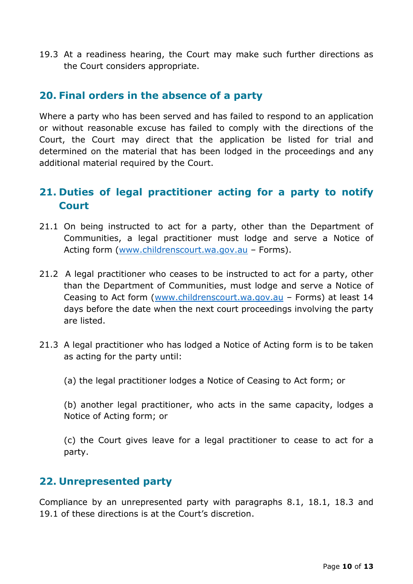19.3 At a readiness hearing, the Court may make such further directions as the Court considers appropriate.

### **20. Final orders in the absence of a party**

Where a party who has been served and has failed to respond to an application or without reasonable excuse has failed to comply with the directions of the Court, the Court may direct that the application be listed for trial and determined on the material that has been lodged in the proceedings and any additional material required by the Court.

# **21. Duties of legal practitioner acting for a party to notify Court**

- 21.1 On being instructed to act for a party, other than the Department of Communities, a legal practitioner must lodge and serve a Notice of Acting form [\(www.childrenscourt.wa.gov.au](http://www.childrenscourt.wa.gov.au/) – Forms).
- 21.2 A legal practitioner who ceases to be instructed to act for a party, other than the Department of Communities, must lodge and serve a Notice of Ceasing to Act form [\(www.childrenscourt.wa.gov.au](http://www.childrenscourt.wa.gov.au/) – Forms) at least 14 days before the date when the next court proceedings involving the party are listed.
- 21.3 A legal practitioner who has lodged a Notice of Acting form is to be taken as acting for the party until:
	- (a) the legal practitioner lodges a Notice of Ceasing to Act form; or

(b) another legal practitioner, who acts in the same capacity, lodges a Notice of Acting form; or

(c) the Court gives leave for a legal practitioner to cease to act for a party.

## **22. Unrepresented party**

Compliance by an unrepresented party with paragraphs 8.1, 18.1, 18.3 and 19.1 of these directions is at the Court's discretion.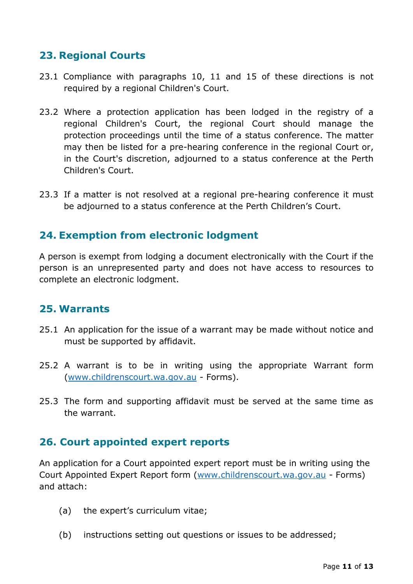# **23. Regional Courts**

- 23.1 Compliance with paragraphs 10, 11 and 15 of these directions is not required by a regional Children's Court.
- 23.2 Where a protection application has been lodged in the registry of a regional Children's Court, the regional Court should manage the protection proceedings until the time of a status conference. The matter may then be listed for a pre-hearing conference in the regional Court or, in the Court's discretion, adjourned to a status conference at the Perth Children's Court.
- 23.3 If a matter is not resolved at a regional pre-hearing conference it must be adjourned to a status conference at the Perth Children's Court.

## **24. Exemption from electronic lodgment**

A person is exempt from lodging a document electronically with the Court if the person is an unrepresented party and does not have access to resources to complete an electronic lodgment.

#### **25. Warrants**

- 25.1 An application for the issue of a warrant may be made without notice and must be supported by affidavit.
- 25.2 A warrant is to be in writing using the appropriate Warrant form [\(www.childrenscourt.wa.gov.au](http://www.childrenscourt.wa.gov.au/) - Forms).
- 25.3 The form and supporting affidavit must be served at the same time as the warrant.

#### **26. Court appointed expert reports**

An application for a Court appointed expert report must be in writing using the Court Appointed Expert Report form [\(www.childrenscourt.wa.gov.au](http://www.childrenscourt.wa.gov.au/) - Forms) and attach:

- (a) the expert's curriculum vitae;
- (b) instructions setting out questions or issues to be addressed;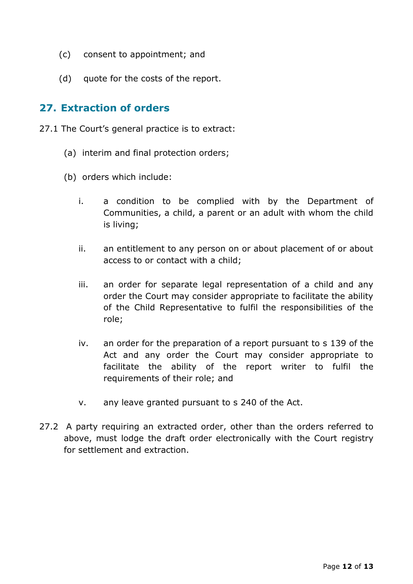- (c) consent to appointment; and
- (d) quote for the costs of the report.

### **27. Extraction of orders**

- 27.1 The Court's general practice is to extract:
	- (a) interim and final protection orders;
	- (b) orders which include:
		- i. a condition to be complied with by the Department of Communities, a child, a parent or an adult with whom the child is living;
		- ii. an entitlement to any person on or about placement of or about access to or contact with a child;
		- iii. an order for separate legal representation of a child and any order the Court may consider appropriate to facilitate the ability of the Child Representative to fulfil the responsibilities of the role;
		- iv. an order for the preparation of a report pursuant to s 139 of the Act and any order the Court may consider appropriate to facilitate the ability of the report writer to fulfil the requirements of their role; and
		- v. any leave granted pursuant to s 240 of the Act.
- 27.2 A party requiring an extracted order, other than the orders referred to above, must lodge the draft order electronically with the Court registry for settlement and extraction.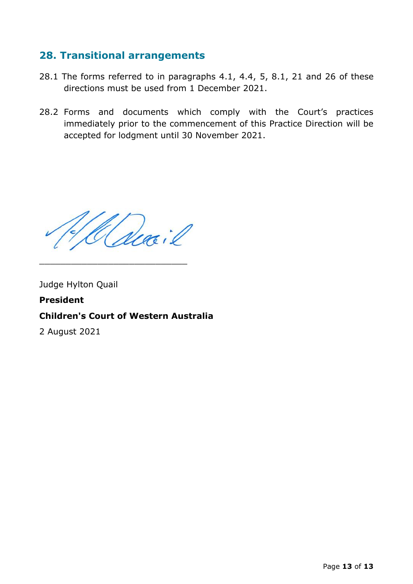## **28. Transitional arrangements**

- 28.1 The forms referred to in paragraphs 4.1, 4.4, 5, 8.1, 21 and 26 of these directions must be used from 1 December 2021.
- 28.2 Forms and documents which comply with the Court's practices immediately prior to the commencement of this Practice Direction will be accepted for lodgment until 30 November 2021.

\_\_\_\_\_\_\_\_\_\_\_\_\_\_\_\_\_\_\_\_\_\_\_\_\_\_\_\_

Judge Hylton Quail

# **President Children's Court of Western Australia**

2 August 2021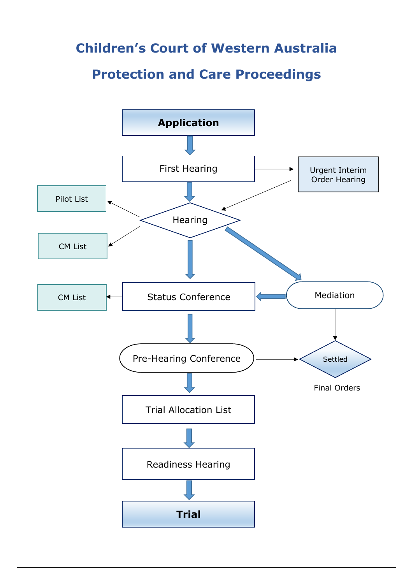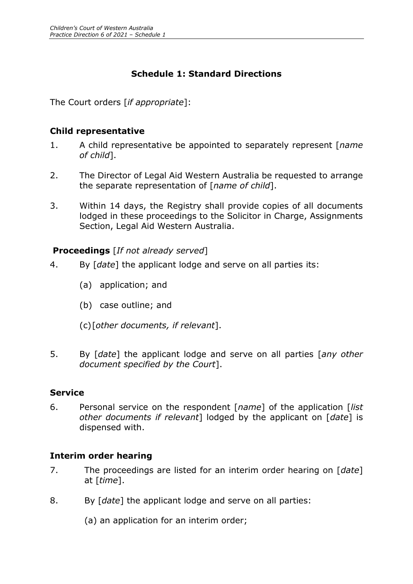#### **Schedule 1: Standard Directions**

The Court orders [*if appropriate*]:

#### **Child representative**

- 1. A child representative be appointed to separately represent [*name of child*].
- 2. The Director of Legal Aid Western Australia be requested to arrange the separate representation of [*name of child*].
- 3. Within 14 days, the Registry shall provide copies of all documents lodged in these proceedings to the Solicitor in Charge, Assignments Section, Legal Aid Western Australia.

#### **Proceedings** [*If not already served*]

- 4. By [*date*] the applicant lodge and serve on all parties its:
	- (a) application; and
	- (b) case outline; and
	- (c)[*other documents, if relevant*].
- 5. By [*date*] the applicant lodge and serve on all parties [*any other document specified by the Court*].

#### **Service**

6. Personal service on the respondent [*name*] of the application [*list other documents if relevant*] lodged by the applicant on [*date*] is dispensed with.

#### **Interim order hearing**

- 7. The proceedings are listed for an interim order hearing on [*date*] at [*time*].
- 8. By [*date*] the applicant lodge and serve on all parties:
	- (a) an application for an interim order;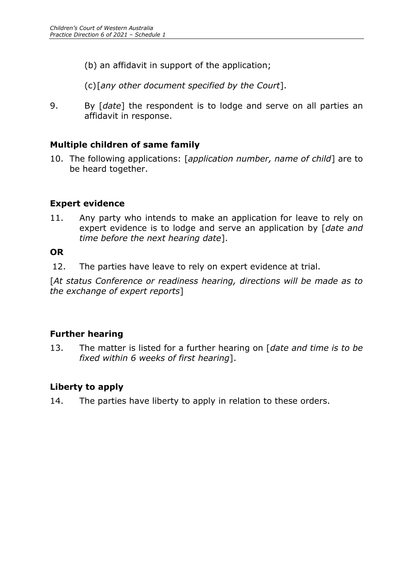(b) an affidavit in support of the application;

(c)[*any other document specified by the Court*].

9. By [*date*] the respondent is to lodge and serve on all parties an affidavit in response.

#### **Multiple children of same family**

10. The following applications: [*application number, name of child*] are to be heard together.

#### **Expert evidence**

11. Any party who intends to make an application for leave to rely on expert evidence is to lodge and serve an application by [*date and time before the next hearing date*].

#### **OR**

12. The parties have leave to rely on expert evidence at trial.

[*At status Conference or readiness hearing, directions will be made as to the exchange of expert reports*]

#### **Further hearing**

13. The matter is listed for a further hearing on [*date and time is to be fixed within 6 weeks of first hearing*].

#### **Liberty to apply**

14. The parties have liberty to apply in relation to these orders.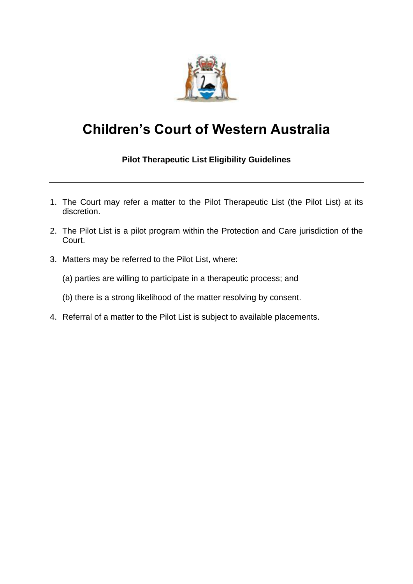

# **Children's Court of Western Australia**

#### **Pilot Therapeutic List Eligibility Guidelines**

- 1. The Court may refer a matter to the Pilot Therapeutic List (the Pilot List) at its discretion.
- 2. The Pilot List is a pilot program within the Protection and Care jurisdiction of the Court.
- 3. Matters may be referred to the Pilot List, where:
	- (a) parties are willing to participate in a therapeutic process; and
	- (b) there is a strong likelihood of the matter resolving by consent.
- 4. Referral of a matter to the Pilot List is subject to available placements.